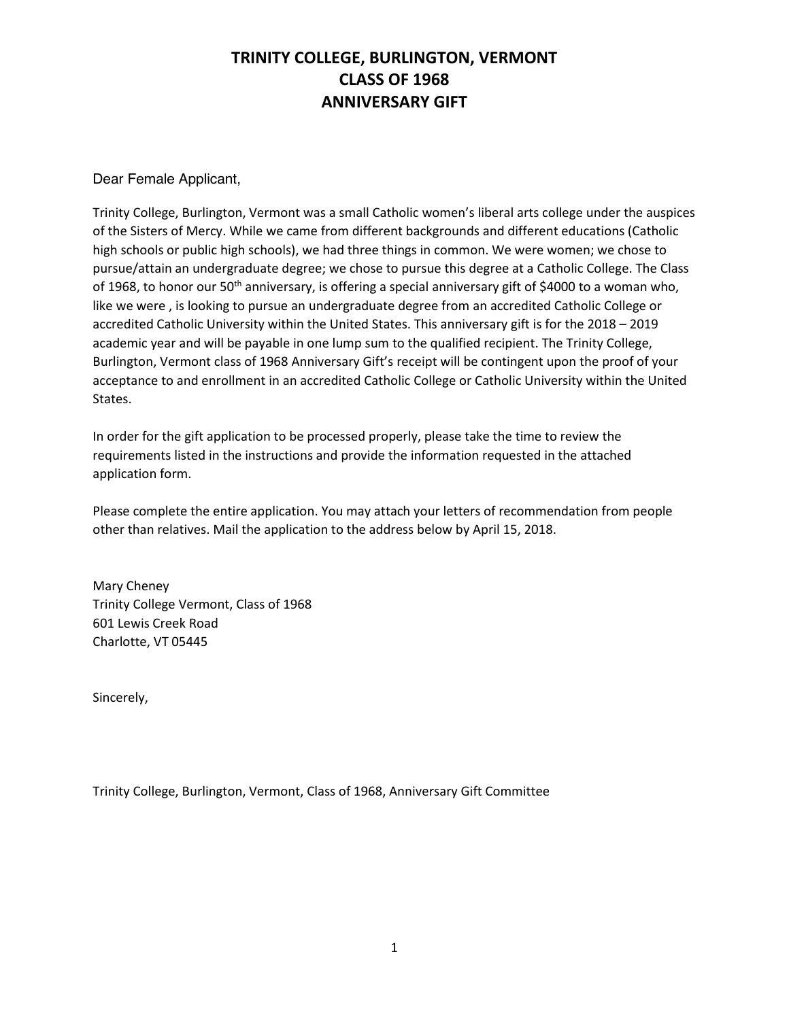Dear Female Applicant,

Trinity College, Burlington, Vermont was a small Catholic women's liberal arts college under the auspices of the Sisters of Mercy. While we came from different backgrounds and different educations (Catholic high schools or public high schools), we had three things in common. We were women; we chose to pursue/attain an undergraduate degree; we chose to pursue this degree at a Catholic College. The Class of 1968, to honor our 50<sup>th</sup> anniversary, is offering a special anniversary gift of \$4000 to a woman who, like we were , is looking to pursue an undergraduate degree from an accredited Catholic College or accredited Catholic University within the United States. This anniversary gift is for the 2018 – 2019 academic year and will be payable in one lump sum to the qualified recipient. The Trinity College, Burlington, Vermont class of 1968 Anniversary Gift's receipt will be contingent upon the proof of your acceptance to and enrollment in an accredited Catholic College or Catholic University within the United States.

In order for the gift application to be processed properly, please take the time to review the requirements listed in the instructions and provide the information requested in the attached application form.

Please complete the entire application. You may attach your letters of recommendation from people other than relatives. Mail the application to the address below by April 15, 2018.

Mary Cheney Trinity College Vermont, Class of 1968 601 Lewis Creek Road Charlotte, VT 05445

Sincerely,

Trinity College, Burlington, Vermont, Class of 1968, Anniversary Gift Committee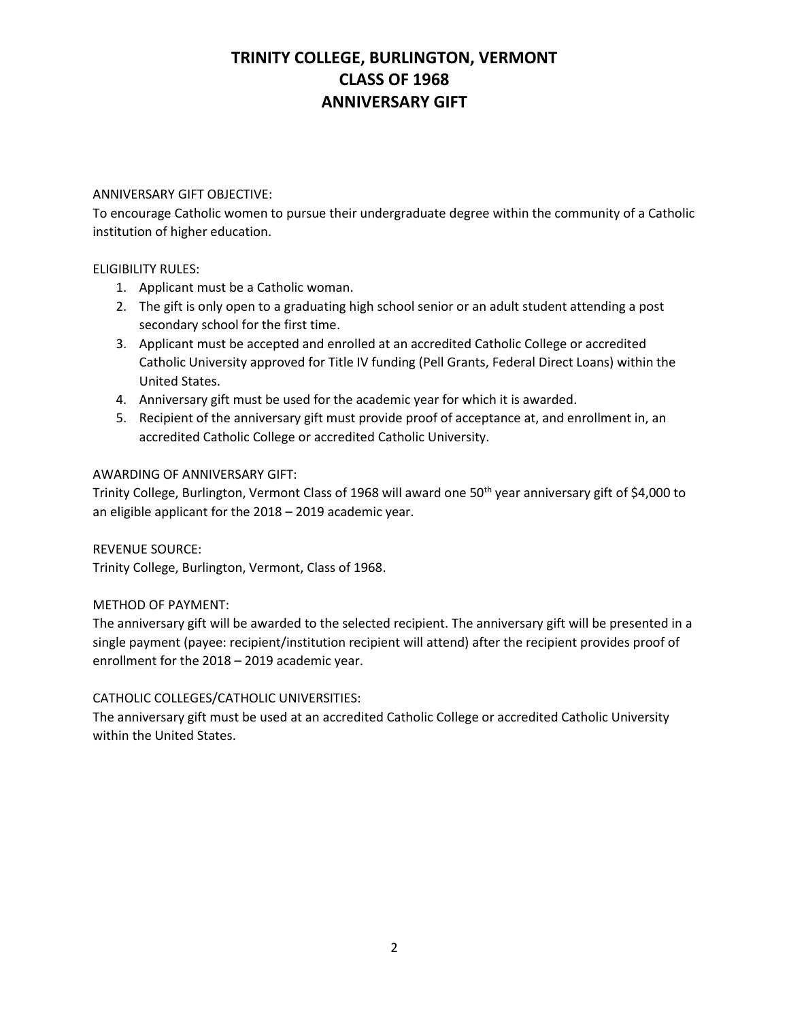#### ANNIVERSARY GIFT OBJECTIVE:

To encourage Catholic women to pursue their undergraduate degree within the community of a Catholic institution of higher education.

#### ELIGIBILITY RULES:

- 1. Applicant must be a Catholic woman.
- 2. The gift is only open to a graduating high school senior or an adult student attending a post secondary school for the first time.
- 3. Applicant must be accepted and enrolled at an accredited Catholic College or accredited Catholic University approved for Title IV funding (Pell Grants, Federal Direct Loans) within the United States.
- 4. Anniversary gift must be used for the academic year for which it is awarded.
- 5. Recipient of the anniversary gift must provide proof of acceptance at, and enrollment in, an accredited Catholic College or accredited Catholic University.

#### AWARDING OF ANNIVERSARY GIFT:

Trinity College, Burlington, Vermont Class of 1968 will award one 50<sup>th</sup> year anniversary gift of \$4,000 to an eligible applicant for the 2018 – 2019 academic year.

### REVENUE SOURCE:

Trinity College, Burlington, Vermont, Class of 1968.

#### METHOD OF PAYMENT:

The anniversary gift will be awarded to the selected recipient. The anniversary gift will be presented in a single payment (payee: recipient/institution recipient will attend) after the recipient provides proof of enrollment for the 2018 – 2019 academic year.

### CATHOLIC COLLEGES/CATHOLIC UNIVERSITIES:

The anniversary gift must be used at an accredited Catholic College or accredited Catholic University within the United States.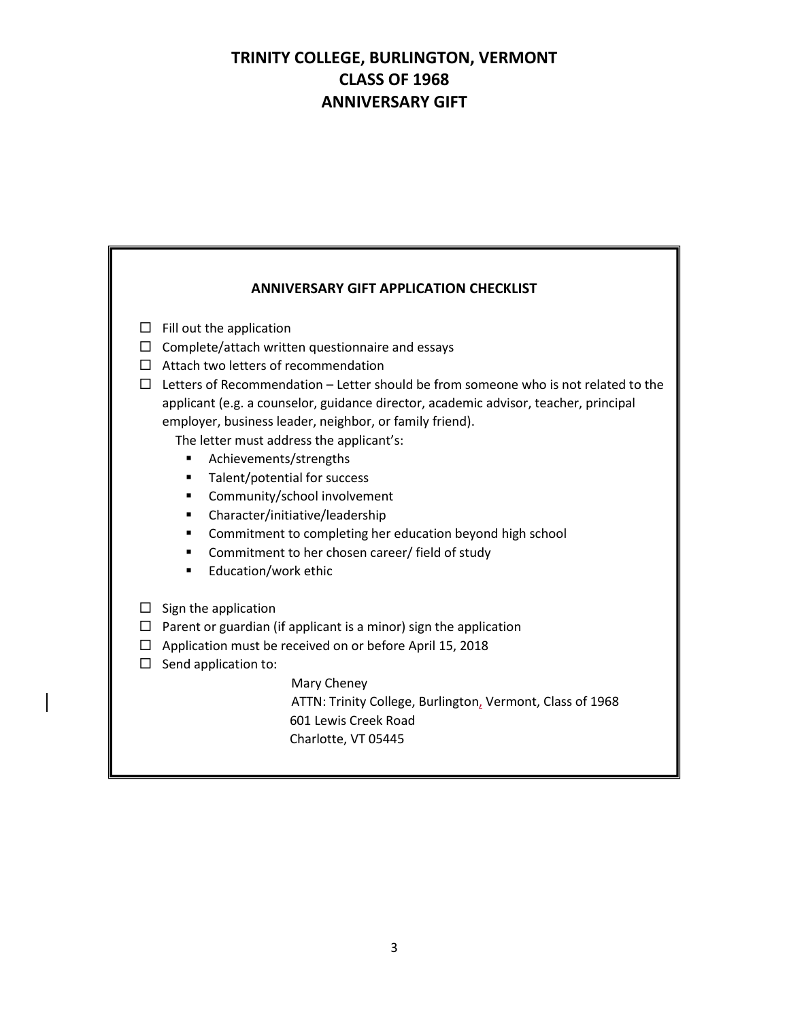| <b>ANNIVERSARY GIFT APPLICATION CHECKLIST</b>                                                                                                                                                                                                                                                                                                                                                                                                                                                                                                                                                                                                                                                                                                     |
|---------------------------------------------------------------------------------------------------------------------------------------------------------------------------------------------------------------------------------------------------------------------------------------------------------------------------------------------------------------------------------------------------------------------------------------------------------------------------------------------------------------------------------------------------------------------------------------------------------------------------------------------------------------------------------------------------------------------------------------------------|
| $\Box$ Fill out the application<br>$\Box$ Complete/attach written questionnaire and essays<br>$\Box$ Attach two letters of recommendation<br>Letters of Recommendation - Letter should be from someone who is not related to the<br>$\Box$<br>applicant (e.g. a counselor, guidance director, academic advisor, teacher, principal<br>employer, business leader, neighbor, or family friend).<br>The letter must address the applicant's:<br>Achievements/strengths<br>٠<br>Talent/potential for success<br>٠<br>Community/school involvement<br>٠<br>Character/initiative/leadership<br>٠<br>Commitment to completing her education beyond high school<br>٠<br>Commitment to her chosen career/ field of study<br>٠<br>Education/work ethic<br>٠ |
| $\Box$ Sign the application<br>$\Box$ Parent or guardian (if applicant is a minor) sign the application<br>Application must be received on or before April 15, 2018<br>$\Box$<br>Send application to:<br>$\Box$<br>Mary Cheney<br>ATTN: Trinity College, Burlington, Vermont, Class of 1968<br>601 Lewis Creek Road<br>Charlotte, VT 05445                                                                                                                                                                                                                                                                                                                                                                                                        |

I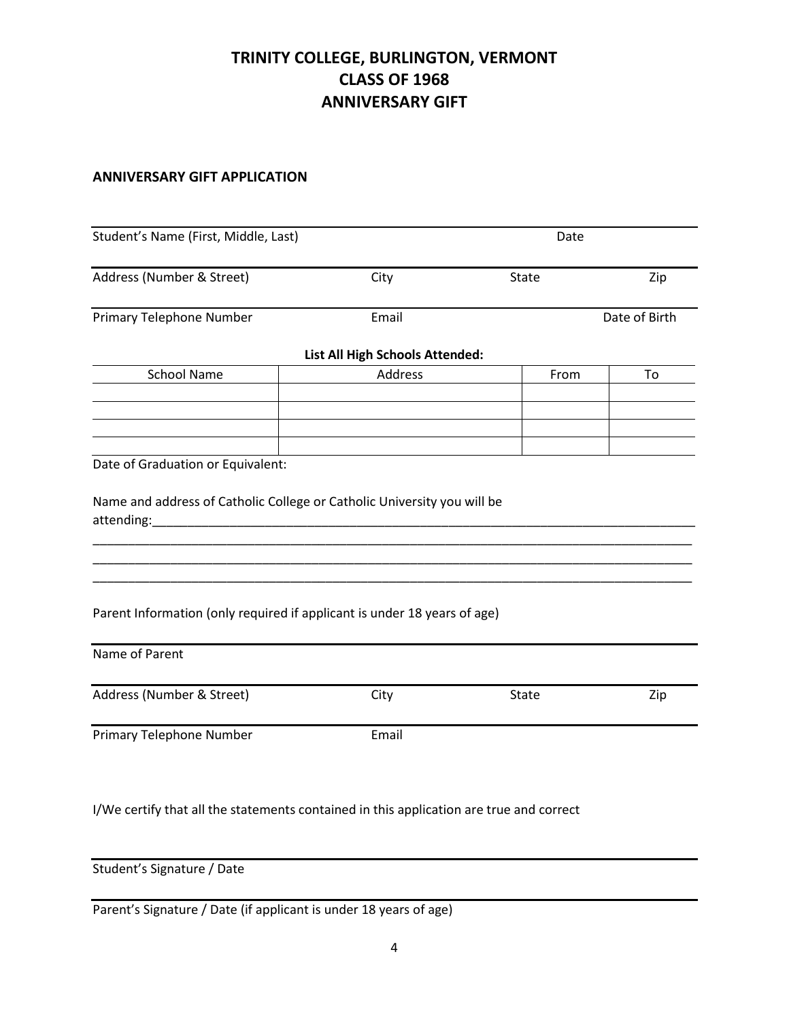### **ANNIVERSARY GIFT APPLICATION**

| Address (Number & Street)<br>Primary Telephone Number<br><b>School Name</b>                                   | City<br>Email<br>List All High Schools Attended: | State | Zip<br>Date of Birth |
|---------------------------------------------------------------------------------------------------------------|--------------------------------------------------|-------|----------------------|
|                                                                                                               |                                                  |       |                      |
|                                                                                                               |                                                  |       |                      |
|                                                                                                               |                                                  |       |                      |
|                                                                                                               | Address                                          | From  | To                   |
|                                                                                                               |                                                  |       |                      |
|                                                                                                               |                                                  |       |                      |
| Date of Graduation or Equivalent:                                                                             |                                                  |       |                      |
| attending: and the state of the state of the state of the state of the state of the state of the state of the |                                                  |       |                      |
| Parent Information (only required if applicant is under 18 years of age)                                      |                                                  |       |                      |
| Name of Parent                                                                                                |                                                  |       |                      |
| Address (Number & Street)                                                                                     | City                                             | State | Zip                  |
| Primary Telephone Number                                                                                      | Email                                            |       |                      |
|                                                                                                               |                                                  |       |                      |

I/We certify that all the statements contained in this application are true and correct

Student's Signature / Date

Parent's Signature / Date (if applicant is under 18 years of age)